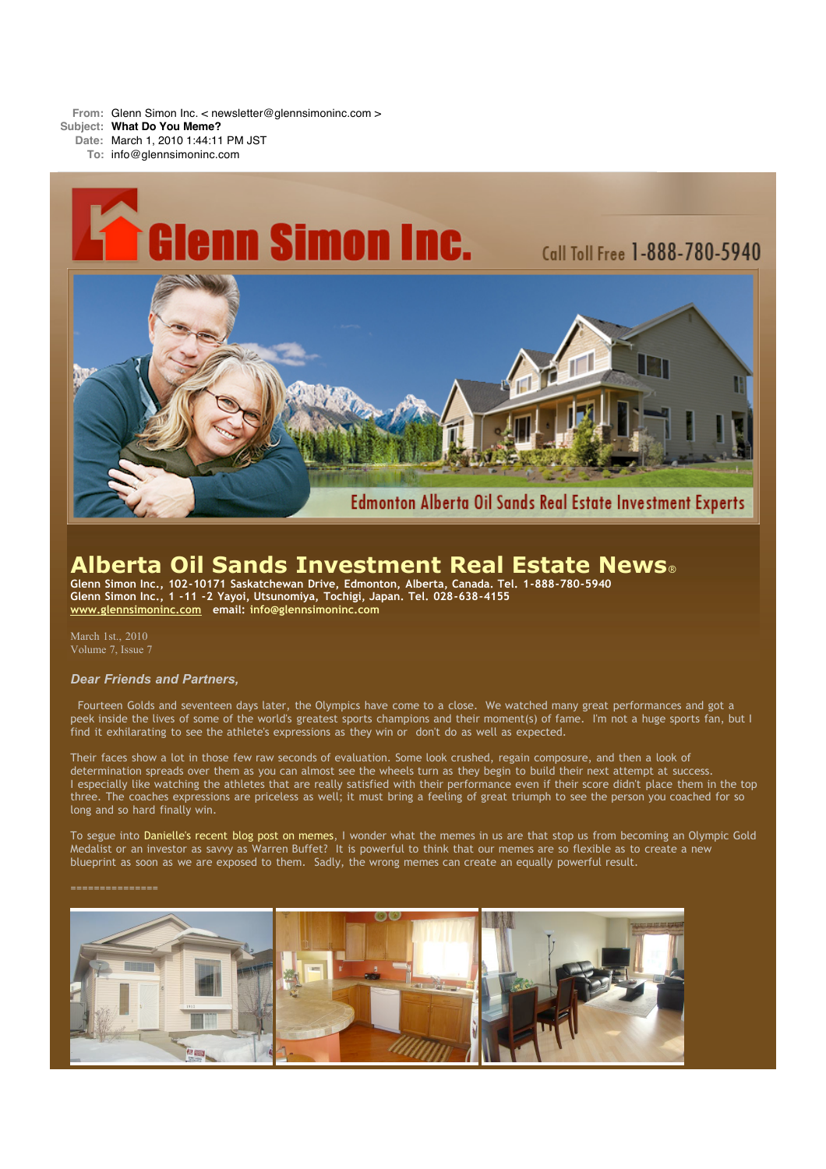**From:** Glenn Simon Inc. < newsletter@glennsimoninc.com >

**Subject: What Do You Meme?**

**Date:** March 1, 2010 1:44:11 PM JST

**To:** info@glennsimoninc.com



# **Alberta Oil Sands Investment Real Estate News**®

**Glenn Simon Inc., 102-10171 Saskatchewan Drive, Edmonton, Alberta, Canada. Tel. 1-888-780-5940 Glenn Simon Inc., 1 -11 -2 Yayoi, Utsunomiya, Tochigi, Japan. Tel. 028-638-4155 [www.glennsimoninc.com](http://www.glennsimoninc.com/) email: [info@glennsimoninc.com](mailto:info@glennsimoninc.com)**

March 1st., 2010 Volume 7, Issue 7

# *Dear Friends and Partners,*

Fourteen Golds and seventeen days later, the Olympics have come to a close. We watched many great performances and got a peek inside the lives of some of the world's greatest sports champions and their moment(s) of fame. I'm not a huge sports fan, but I find it exhilarating to see the athlete's expressions as they win or don't do as well as expected.

Their faces show a lot in those few raw seconds of evaluation. Some look crushed, regain composure, and then a look of determination spreads over them as you can almost see the wheels turn as they begin to build their next attempt at success. I especially like watching the athletes that are really satisfied with their performance even if their score didn't place them in the top three. The coaches expressions are priceless as well; it must bring a feeling of great triumph to see the person you coached for so long and so hard finally win.

To segue into [Danielle's](http://www.edmontonrealestateinvestmentblog.com/2010/02/kids-hate-vegetables.html) recent blog post on memes, I wonder what the memes in us are that stop us from becoming an Olympic Gold Medalist or an investor as savvy as Warren Buffet? It is powerful to think that our memes are so flexible as to create a new blueprint as soon as we are exposed to them. Sadly, the wrong memes can create an equally powerful result.

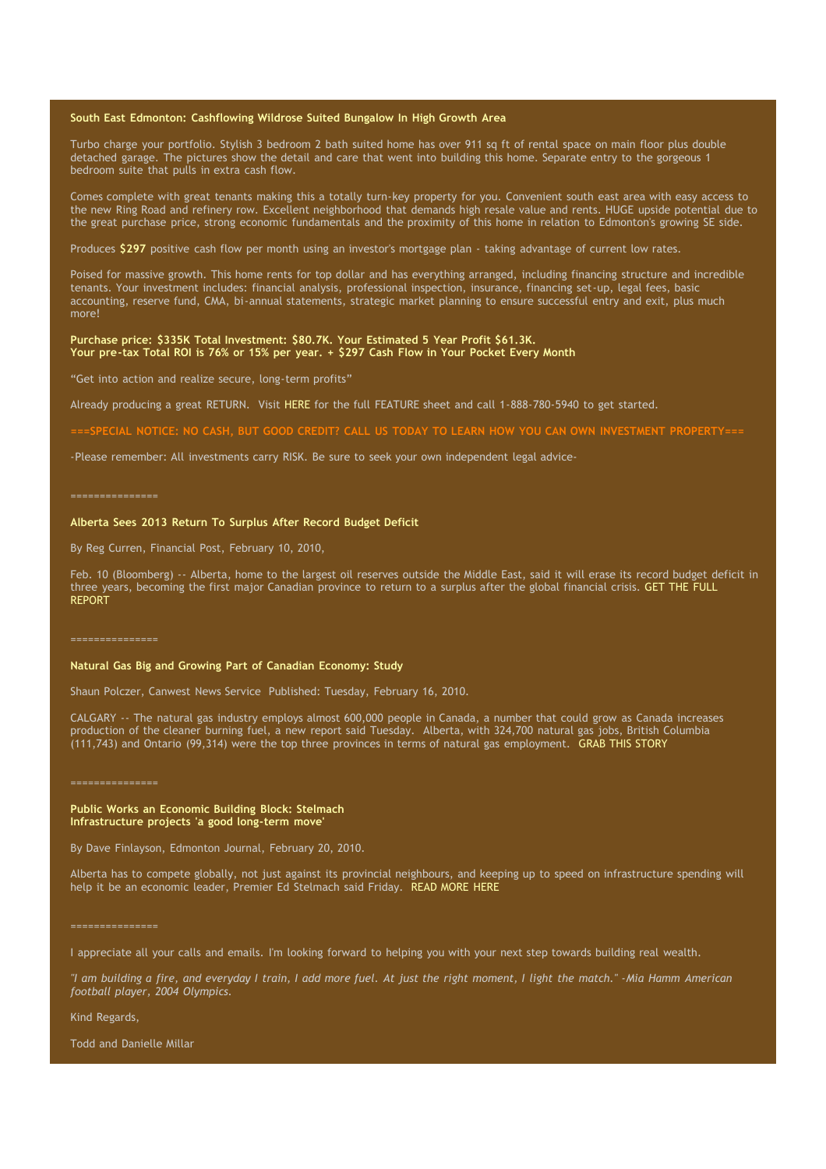## **South East Edmonton: [Cashflowing](http://www.glennsimoninc.com/featured_detail.php?id=71) Wildrose Suited Bungalow In High Growth Area**

Turbo charge your portfolio. Stylish 3 bedroom 2 bath suited home has over 911 sq ft of rental space on main floor plus double detached garage. The pictures show the detail and care that went into building this home. Separate entry to the gorgeous 1 bedroom suite that pulls in extra cash flow.

Comes complete with great tenants making this a totally turn-key property for you. Convenient south east area with easy access to the new Ring Road and refinery row. Excellent neighborhood that demands high resale value and rents. HUGE upside potential due to the great purchase price, strong economic fundamentals and the proximity of this home in relation to Edmonton's growing SE side.

Produces **[\\$297](http://www.glennsimoninc.com/featured_detail.php?id=71)** positive cash flow per month using an investor's mortgage plan - taking advantage of current low rates.

Poised for massive growth. This home rents for top dollar and has everything arranged, including financing structure and incredible tenants. Your investment includes: financial analysis, professional inspection, insurance, financing set-up, legal fees, basic accounting, reserve fund, CMA, bi-annual statements, strategic market planning to ensure successful entry and exit, plus much more!

## **Purchase price: \$335K Total [Investment:](http://www.glennsimoninc.com/featured_detail.php?id=71) \$80.7K. Your Estimated 5 Year Profit \$61.3K. Your pre-tax Total ROI is 76% or 15% per year. + \$297 Cash Flow in Your Pocket Every Month**

"Get into action and realize secure, long-term profits"

Already producing a great RETURN. Visit [HERE](http://www.glennsimoninc.com/featured_detail.php?id=71) for the full FEATURE sheet and call 1-888-780-5940 to get started.

===SPECIAL NOTICE: NO CASH, BUT GOOD CREDIT? CALL US TODAY TO LEARN HOW YOU CAN OWN INVESTMENT [PROPERTY===](http://www.myreinspace.com/forums/index.php?showtopic=15535)

-Please remember: All investments carry RISK. Be sure to seek your own independent legal advice-

#### ===============

## **Alberta Sees 2013 Return To Surplus After Record Budget Deficit**

By Reg Curren, Financial Post, February 10, 2010,

Feb. 10 (Bloomberg) -- Alberta, home to the largest oil reserves outside the Middle East, said it will erase its record budget deficit in three years, [becoming](http://www.businessweek.com/news/2010-02-10/alberta-sees-2013-return-to-surplus-after-record-budget-deficit.html) the first major Canadian province to return to a surplus after the global financial crisis. GET THE FULL REPORT

### **Natural Gas Big and Growing Part of Canadian Economy: Study**

Shaun Polczer, Canwest News Service Published: Tuesday, February 16, 2010.

CALGARY -- The natural gas industry employs almost 600,000 people in Canada, a number that could grow as Canada increases production of the cleaner burning fuel, a new report said Tuesday. Alberta, with 324,700 natural gas jobs, British Columbia (111,743) and Ontario (99,314) were the top three provinces in terms of natural gas employment. GRAB THIS [STORY](http://www.financialpost.com/news-sectors/energy/story.html?id=2572758)

===============

## **Public Works an Economic Building Block: Stelmach Infrastructure projects 'a good long-term move'**

By Dave Finlayson, Edmonton Journal, February 20, 2010.

Alberta has to compete globally, not just against its provincial neighbours, and keeping up to speed on infrastructure spending will help it be an economic leader, Premier Ed Stelmach said Friday. READ [MORE](http://www.edmontonjournal.com/business/Public+works+economic+building+block+Stelmach/2590409/story.html) HERE

I appreciate all your calls and emails. I'm looking forward to helping you with your next step towards building real wealth.

"I am building a fire, and everyday I train, I add more fuel. At just the right moment, I light the match." -Mia Hamm American *football player, 2004 Olympics.*

Kind Regards,

Todd and Danielle Millar